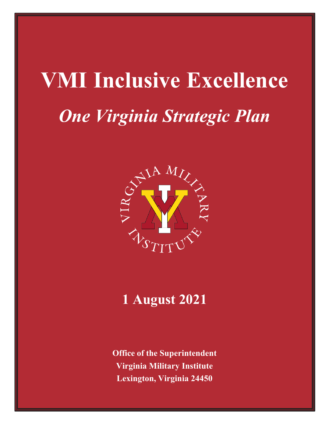# **VMI Inclusive Excellence** *One Virginia Strategic Plan*



# **1 August 2021**

**Office of the Superintendent Virginia Military Institute Lexington, Virginia 24450**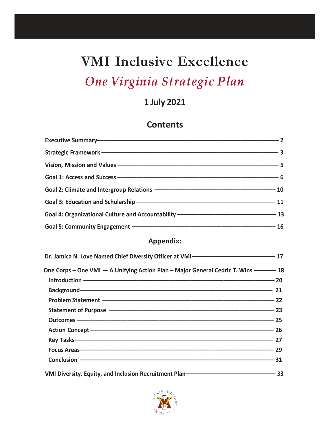# **VMI Inclusive Excellence**

# *One Virginia Strategic Plan*

# **1 July 2021**

### **Contents**

| <b>Appendix:</b>                                                                                                                                                                                                               |  |
|--------------------------------------------------------------------------------------------------------------------------------------------------------------------------------------------------------------------------------|--|
|                                                                                                                                                                                                                                |  |
| One Corps - One VMI - A Unifying Action Plan - Major General Cedric T. Wins ------- 18                                                                                                                                         |  |
|                                                                                                                                                                                                                                |  |
| Background-Communication and the contract of the contract of the contract of the contract of the contract of the contract of the contract of the contract of the contract of the contract of the contract of the contract of t |  |
|                                                                                                                                                                                                                                |  |
|                                                                                                                                                                                                                                |  |
|                                                                                                                                                                                                                                |  |
| Action Concept - 26                                                                                                                                                                                                            |  |
|                                                                                                                                                                                                                                |  |
|                                                                                                                                                                                                                                |  |
|                                                                                                                                                                                                                                |  |
|                                                                                                                                                                                                                                |  |

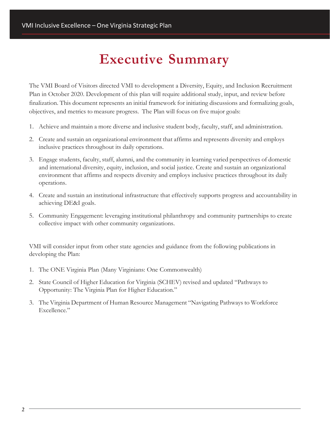# **Executive Summary**

The VMI Board of Visitors directed VMI to development a Diversity, Equity, and Inclusion Recruitment Plan in October 2020. Development of this plan will require additional study, input, and review before finalization. This document represents an initial framework for initiating discussions and formalizing goals, objectives, and metrics to measure progress. The Plan will focus on five major goals:

- 1. Achieve and maintain a more diverse and inclusive student body, faculty, staff, and administration.
- 2. Create and sustain an organizational environment that affirms and represents diversity and employs inclusive practices throughout its daily operations.
- 3. Engage students, faculty, staff, alumni, and the community in learning varied perspectives of domestic and international diversity, equity, inclusion, and social justice. Create and sustain an organizational environment that affirms and respects diversity and employs inclusive practices throughout its daily operations.
- 4. Create and sustain an institutional infrastructure that effectively supports progress and accountability in achieving DE&I goals.
- 5. Community Engagement: leveraging institutional philanthropy and community partnerships to create collective impact with other community organizations.

VMI will consider input from other state agencies and guidance from the following publications in developing the Plan:

- 1. The ONE Virginia Plan (Many Virginians: One Commonwealth)
- 2. State Council of Higher Education for Virginia (SCHEV) revised and updated "Pathways to Opportunity: The Virginia Plan for Higher Education."
- 3. The Virginia Department of Human Resource Management "Navigating Pathways to Workforce Excellence."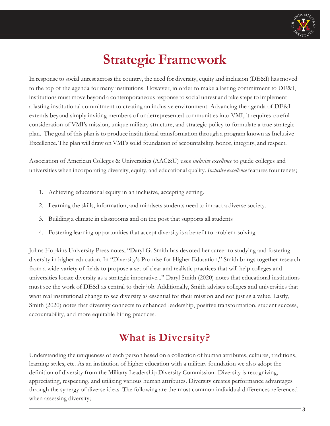

# **Strategic Framework**

In response to social unrest across the country, the need for diversity, equity and inclusion (DE&I) has moved to the top of the agenda for many institutions. However, in order to make a lasting commitment to DE&I, institutions must move beyond a contemporaneous response to social unrest and take steps to implement a lasting institutional commitment to creating an inclusive environment. Advancing the agenda of DE&I extends beyond simply inviting members of underrepresented communities into VMI, it requires careful consideration of VMI's mission, unique military structure, and strategic policy to formulate a true strategic plan. The goal of this plan is to produce institutional transformation through a program known as Inclusive Excellence. The plan will draw on VMI's solid foundation of accountability, honor, integrity, and respect.

Association of American Colleges & Universities (AAC&U) uses *inclusive excellence* to guide colleges and universities when incorporating diversity, equity, and educational quality. *Inclusive excellence* features four tenets;

- 1. Achieving educational equity in an inclusive, accepting setting.
- 2. Learning the skills, information, and mindsets students need to impact a diverse society.
- 3. Building a climate in classrooms and on the post that supports all students
- 4. Fostering learning opportunities that accept diversity is a benefit to problem-solving.

Johns Hopkins University Press notes, "Daryl G. Smith has devoted her career to studying and fostering diversity in higher education. In "Diversity's Promise for Higher Education," Smith brings together research from a wide variety of fields to propose a set of clear and realistic practices that will help colleges and universities locate diversity as a strategic imperative..." Daryl Smith (2020) notes that educational institutions must see the work of DE&I as central to their job. Additionally, Smith advises colleges and universities that want real institutional change to see diversity as essential for their mission and not just as a value. Lastly, Smith (2020) notes that diversity connects to enhanced leadership, positive transformation, student success, accountability, and more equitable hiring practices.

# **What is Diversity?**

Understanding the uniqueness of each person based on a collection of human attributes, cultures, traditions, learning styles, etc. As an institution of higher education with a military foundation we also adopt the definition of diversity from the Military Leadership Diversity Commission- Diversity is recognizing, appreciating, respecting, and utilizing various human attributes. Diversity creates performance advantages through the synergy of diverse ideas. The following are the most common individual differences referenced when assessing diversity;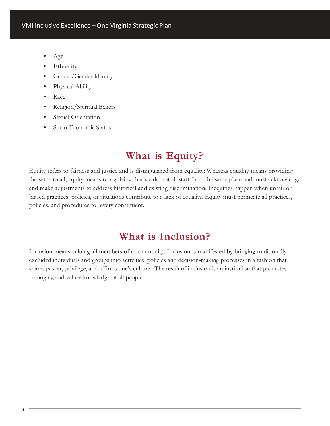- Age
- **Ethnicity**
- Gender/Gender Identity
- Physical Ability
- Race
- Religion/Spiritual Beliefs
- Sexual Orientation
- Socio-Economic Status

# **What is Equity?**

Equity refers to fairness and justice and is distinguished from equality: Whereas equality means providing the same to all, equity means recognizing that we do not all start from the same place and must acknowledge and make adjustments to address historical and existing discrimination. Inequities happen when unfair or biased practices, policies, or situations contribute to a lack of equality. Equity must permeate all practices, policies, and procedures for every constituent.

## **What is Inclusion?**

Inclusion means valuing all members of a community. Inclusion is manifested by bringing traditionally excluded individuals and groups into activities, policies and decision-making processes in a fashion that shares power, privilege, and affirms one's culture. The result of inclusion is an institution that promotes belonging and values knowledge of all people.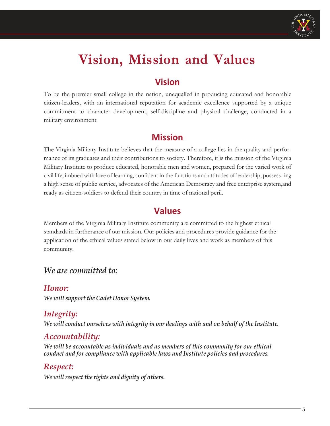

# **Vision, Mission and Values**

### **Vision**

To be the premier small college in the nation, unequalled in producing educated and honorable citizen-leaders, with an international reputation for academic excellence supported by a unique commitment to character development, self-discipline and physical challenge, conducted in a military environment.

### **Mission**

The Virginia Military Institute believes that the measure of a college lies in the quality and performance of its graduates and their contributions to society. Therefore, it is the mission of the Virginia Military Institute to produce educated, honorable men and women, prepared for the varied work of civil life, imbued with love of learning, confident in the functions and attitudes of leadership, possess- ing a high sense of public service, advocates of the American Democracy and free enterprise system,and ready as citizen-soldiers to defend their country in time of national peril.

### **Values**

Members of the Virginia Military Institute community are committed to the highest ethical standards in furtherance of our mission. Our policies and procedures provide guidance for the application of the ethical values stated below in our daily lives and work as members of this community.

### *We are committed to:*

### *Honor: We will support the Cadet Honor System.*

### *Integrity:*

*We will conduct ourselves with integrity in our dealings with and on behalf of the Institute.*

### *Accountability:*

*We will be accountable as individuals and as members of this community for our ethical conduct and for compliance with applicable laws and Institute policies and procedures.*

### *Respect:*

*We will respect the rights and dignity of others.*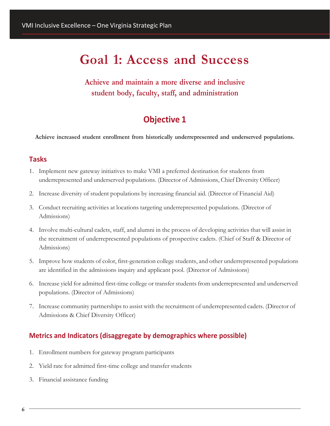# **Goal 1: Access and Success**

**Achieve and maintain a more diverse and inclusive student body, faculty, staff, and administration**

### **Objective 1**

**Achieve increased student enrollment from historically underrepresented and underserved populations.**

#### **Tasks**

- 1. Implement new gateway initiatives to make VMI a preferred destination for students from underrepresented and underserved populations. (Director of Admissions, Chief Diversity Officer)
- 2. Increase diversity of student populations by increasing financial aid. (Director of Financial Aid)
- 3. Conduct recruiting activities at locations targeting underrepresented populations. (Director of Admissions)
- 4. Involve multi-cultural cadets, staff, and alumni in the process of developing activities that will assist in the recruitment of underrepresented populations of prospective cadets. (Chief of Staff & Director of Admissions)
- 5. Improve how students of color, first-generation college students, and other underrepresented populations are identified in the admissions inquiry and applicant pool. (Director of Admissions)
- 6. Increase yield for admitted first-time college or transfer students from underrepresented and underserved populations. (Director of Admissions)
- 7. Increase community partnerships to assist with the recruitment of underrepresented cadets. (Director of Admissions & Chief Diversity Officer)

- 1. Enrollment numbers for gateway program participants
- 2. Yield rate for admitted first-time college and transfer students
- 3. Financial assistance funding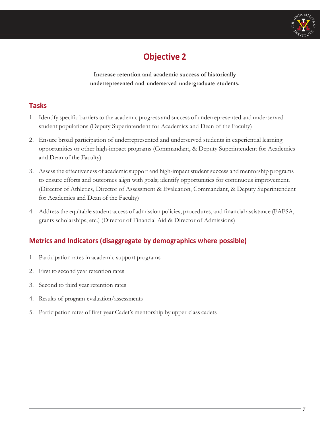

**Increase retention and academic success of historically underrepresented and underserved undergraduate students.**

#### **Tasks**

- 1. Identify specific barriers to the academic progress and success of underrepresented and underserved student populations (Deputy Superintendent for Academics and Dean of the Faculty)
- 2. Ensure broad participation of underrepresented and underserved students in experiential learning opportunities or other high-impact programs (Commandant, & Deputy Superintendent for Academics and Dean of the Faculty)
- 3. Assess the effectiveness of academic support and high-impact student success and mentorship programs to ensure efforts and outcomes align with goals; identify opportunities for continuous improvement. (Director of Athletics, Director of Assessment & Evaluation, Commandant, & Deputy Superintendent for Academics and Dean of the Faculty)
- 4. Address the equitable student access of admission policies, procedures, and financial assistance (FAFSA, grants scholarships, etc.) (Director of Financial Aid & Director of Admissions)

- 1. Participation rates in academic support programs
- 2. First to second year retention rates
- 3. Second to third year retention rates
- 4. Results of program evaluation/assessments
- 5. Participation rates of first-year Cadet's mentorship by upper-class cadets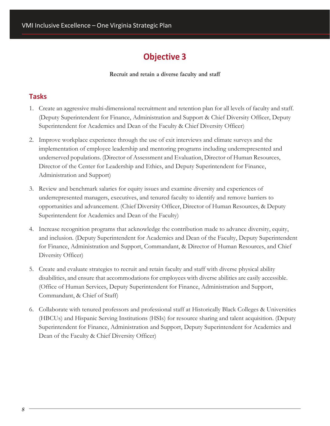**Recruit and retain a diverse faculty and staff**

#### **Tasks**

- 1. Create an aggressive multi-dimensional recruitment and retention plan for all levels of faculty and staff. (Deputy Superintendent for Finance, Administration and Support & Chief Diversity Officer, Deputy Superintendent for Academics and Dean of the Faculty & Chief Diversity Officer)
- 2. Improve workplace experience through the use of exit interviews and climate surveys and the implementation of employee leadership and mentoring programs including underrepresented and underserved populations. (Director of Assessment and Evaluation, Director of Human Resources, Director of the Center for Leadership and Ethics, and Deputy Superintendent for Finance, Administration and Support)
- 3. Review and benchmark salaries for equity issues and examine diversity and experiences of underrepresented managers, executives, and tenured faculty to identify and remove barriers to opportunities and advancement. (Chief Diversity Officer, Director of Human Resources, & Deputy Superintendent for Academics and Dean of the Faculty)
- 4. Increase recognition programs that acknowledge the contribution made to advance diversity, equity, and inclusion. (Deputy Superintendent for Academics and Dean of the Faculty, Deputy Superintendent for Finance, Administration and Support, Commandant, & Director of Human Resources, and Chief Diversity Officer)
- 5. Create and evaluate strategies to recruit and retain faculty and staff with diverse physical ability disabilities, and ensure that accommodations for employees with diverse abilities are easily accessible. (Office of Human Services, Deputy Superintendent for Finance, Administration and Support, Commandant, & Chief of Staff)
- 6. Collaborate with tenured professors and professional staff at Historically Black Colleges & Universities (HBCUs) and Hispanic Serving Institutions (HSIs) for resource sharing and talent acquisition. (Deputy Superintendent for Finance, Administration and Support, Deputy Superintendent for Academics and Dean of the Faculty & Chief Diversity Officer)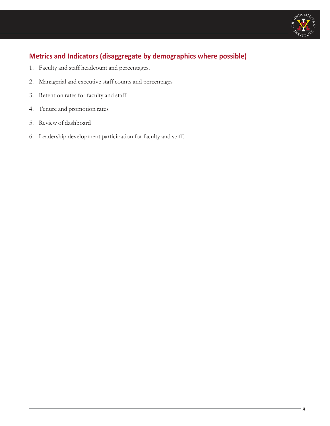

- 1. Faculty and staff headcount and percentages.
- 2. Managerial and executive staff counts and percentages
- 3. Retention rates for faculty and staff
- 4. Tenure and promotion rates
- 5. Review of dashboard
- 6. Leadership development participation for faculty and staff.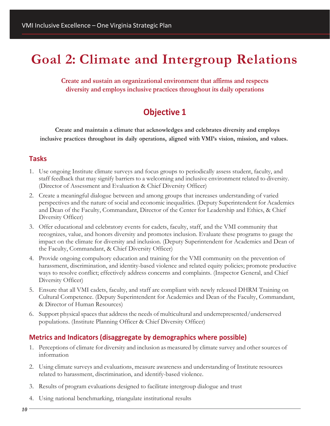# **Goal 2: Climate and Intergroup Relations**

**Create and sustain an organizational environment that affirms and respects diversity and employs inclusive practices throughout its daily operations**

### **Objective 1**

**Create and maintain a climate that acknowledges and celebrates diversity and employs inclusive practices throughout its daily operations, aligned with VMI's vision, mission, and values.**

#### **Tasks**

- 1. Use ongoing Institute climate surveys and focus groups to periodically assess student, faculty, and staff feedback that may signify barriers to a welcoming and inclusive environment related to diversity. (Director of Assessment and Evaluation & Chief Diversity Officer)
- 2. Create a meaningful dialogue between and among groups that increases understanding of varied perspectives and the nature of social and economic inequalities. (Deputy Superintendent for Academics and Dean of the Faculty, Commandant, Director of the Center for Leadership and Ethics, & Chief Diversity Officer)
- 3. Offer educational and celebratory events for cadets, faculty, staff, and the VMI community that recognizes, value, and honors diversity and promotes inclusion. Evaluate these programs to gauge the impact on the climate for diversity and inclusion. (Deputy Superintendent for Academics and Dean of the Faculty, Commandant, & Chief Diversity Officer)
- 4. Provide ongoing compulsory education and training for the VMI community on the prevention of harassment, discrimination, and identity-based violence and related equity policies; promote productive ways to resolve conflict; effectively address concerns and complaints. (Inspector General, and Chief Diversity Officer)
- 5. Ensure that all VMI cadets, faculty, and staff are compliant with newly released DHRM Training on Cultural Competence. (Deputy Superintendent for Academics and Dean of the Faculty, Commandant, & Director of Human Resources)
- 6. Support physicalspaces that address the needs of multicultural and underrepresented/underserved populations. (Institute Planning Officer & Chief Diversity Officer)

- 1. Perceptions of climate for diversity and inclusion as measured by climate survey and other sources of information
- 2. Using climate surveys and evaluations, measure awareness and understanding of Institute resources related to harassment, discrimination, and identify-based violence.
- 3. Results of program evaluations designed to facilitate intergroup dialogue and trust
- 4. Using national benchmarking, triangulate institutional results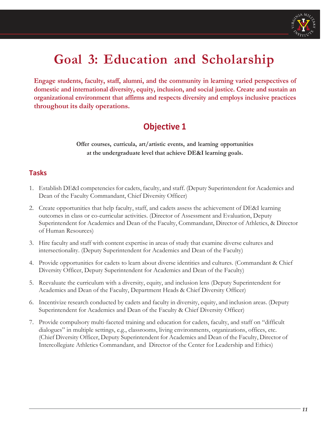

# **Goal 3: Education and Scholarship**

**Engage students, faculty, staff, alumni, and the community in learning varied perspectives of domestic and international diversity, equity, inclusion, and social justice. Create and sustain an organizational environment that affirms and respects diversity and employs inclusive practices throughout its daily operations.**

# **Objective 1**

**Offer courses, curricula, art/artistic events, and learning opportunities at the undergraduate level that achieve DE&I learning goals.**

#### **Tasks**

- 1. Establish DE&I competencies for cadets, faculty, and staff. (Deputy Superintendent for Academics and Dean of the Faculty Commandant, Chief Diversity Officer)
- 2. Create opportunities that help faculty, staff, and cadets assess the achievement of DE&I learning outcomes in class or co-curricular activities. (Director of Assessment and Evaluation, Deputy Superintendent for Academics and Dean of the Faculty, Commandant, Director of Athletics, & Director of Human Resources)
- 3. Hire faculty and staff with content expertise in areas of study that examine diverse cultures and intersectionality. (Deputy Superintendent for Academics and Dean of the Faculty)
- 4. Provide opportunities for cadets to learn about diverse identities and cultures. (Commandant & Chief Diversity Officer, Deputy Superintendent for Academics and Dean of the Faculty)
- 5. Reevaluate the curriculum with a diversity, equity, and inclusion lens (Deputy Superintendent for Academics and Dean of the Faculty, Department Heads & Chief Diversity Officer)
- 6. Incentivize research conducted by cadets and faculty in diversity, equity, and inclusion areas. (Deputy Superintendent for Academics and Dean of the Faculty & Chief Diversity Officer)
- 7. Provide compulsory multi-faceted training and education for cadets, faculty, and staff on "difficult dialogues" in multiple settings, e.g., classrooms, living environments, organizations, offices, etc. (Chief Diversity Officer, Deputy Superintendent for Academics and Dean of the Faculty, Director of Intercollegiate Athletics Commandant, and Director of the Center for Leadership and Ethics)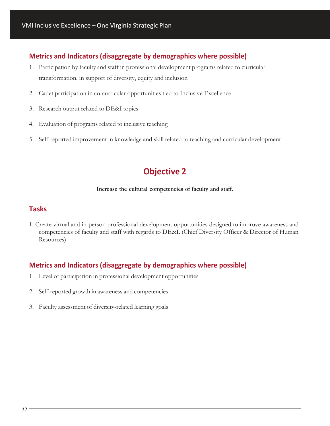#### **Metrics and Indicators (disaggregate by demographics where possible)**

- 1. Participation by faculty and staff in professional development programs related to curricular transformation, in support of diversity, equity and inclusion
- 2. Cadet participation in co-curricular opportunities tied to Inclusive Excellence
- 3. Research output related to DE&I topics
- 4. Evaluation of programs related to inclusive teaching
- 5. Self-reported improvement in knowledge and skill related to teaching and curricular development

### **Objective 2**

#### **Increase the cultural competencies of faculty and staff.**

#### **Tasks**

1. Create virtual and in-person professional development opportunities designed to improve awareness and competencies of faculty and staff with regards to DE&I. (Chief Diversity Officer & Director of Human Resources)

- 1. Level of participation in professional development opportunities
- 2. Self-reported growth in awareness and competencies
- 3. Faculty assessment of diversity-related learning goals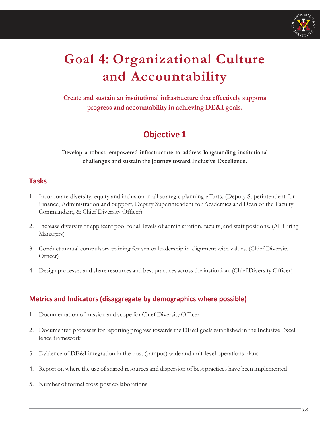

# **Goal 4: Organizational Culture and Accountability**

**Create and sustain an institutional infrastructure that effectively supports progress and accountability in achieving DE&I goals.**

# **Objective 1**

**Develop a robust, empowered infrastructure to address longstanding institutional challenges and sustain the journey toward Inclusive Excellence.**

#### **Tasks**

- 1. Incorporate diversity, equity and inclusion in all strategic planning efforts. (Deputy Superintendent for Finance, Administration and Support, Deputy Superintendent for Academics and Dean of the Faculty, Commandant, & Chief Diversity Officer)
- 2. Increase diversity of applicant pool for all levels of administration, faculty, and staff positions. (All Hiring Managers)
- 3. Conduct annual compulsory training for senior leadership in alignment with values. (Chief Diversity Officer)
- 4. Design processes and share resources and best practices across the institution. (Chief Diversity Officer)

- 1. Documentation of mission and scope for Chief Diversity Officer
- 2. Documented processes for reporting progress towards the DE&I goals established in the Inclusive Excellence framework
- 3. Evidence of DE&I integration in the post (campus) wide and unit-level operations plans
- 4. Report on where the use of shared resources and dispersion of best practices have been implemented
- 5. Number of formal cross-post collaborations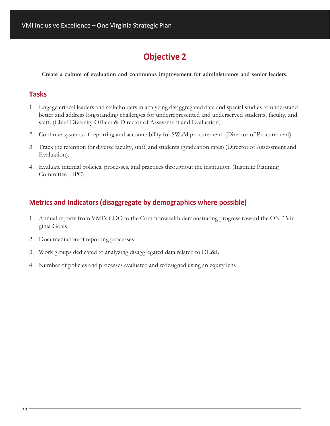**Create a culture of evaluation and continuous improvement for administrators and senior leaders.**

#### **Tasks**

- 1. Engage critical leaders and stakeholders in analyzing disaggregated data and special studies to understand better and address longstanding challenges for underrepresented and underserved students, faculty, and staff. (Chief Diversity Officer & Director of Assessment and Evaluation)
- 2. Continue systems of reporting and accountability for SWaM procurement. (Director of Procurement)
- 3. Track the retention for diverse faculty, staff, and students (graduation rates) (Director of Assessment and Evaluation).
- 4. Evaluate internal policies, processes, and practices throughout the institution. (Institute Planning Committee - IPC)

- 1. Annual reports from VMI's CDO to the Commonwealth demonstrating progress toward the ONE Virginia Goals
- 2. Documentation of reporting processes
- 3. Work groups dedicated to analyzing disaggregated data related to DE&I.
- 4. Number of policies and processes evaluated and redesigned using an equity lens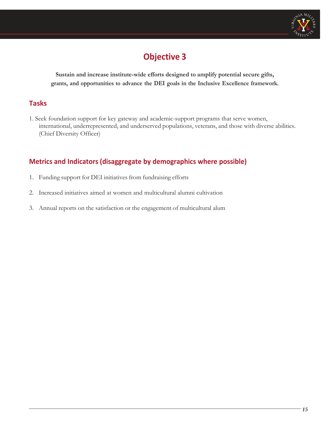

**Sustain and increase institute-wide efforts designed to amplify potential secure gifts, grants, and opportunities to advance the DEI goals in the Inclusive Excellence framework.**

#### **Tasks**

1. Seek foundation support for key gateway and academic-support programs that serve women, international, underrepresented, and underserved populations, veterans, and those with diverse abilities. (Chief Diversity Officer)

- 1. Funding support for DEI initiatives from fundraising efforts
- 2. Increased initiatives aimed at women and multicultural alumni cultivation
- 3. Annual reports on the satisfaction or the engagement of multicultural alum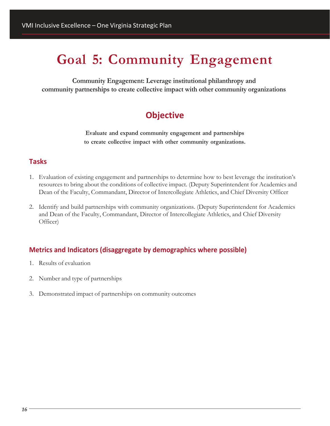# **Goal 5: Community Engagement**

**Community Engagement: Leverage institutional philanthropy and community partnerships to create collective impact with other community organizations**

## **Objective**

**Evaluate and expand community engagement and partnerships to create collective impact with other community organizations.**

#### **Tasks**

- 1. Evaluation of existing engagement and partnerships to determine how to best leverage the institution's resources to bring about the conditions of collective impact. (Deputy Superintendent for Academics and Dean of the Faculty, Commandant, Director of Intercollegiate Athletics, and Chief Diversity Officer
- 2. Identify and build partnerships with community organizations. (Deputy Superintendent for Academics and Dean of the Faculty, Commandant, Director of Intercollegiate Athletics, and Chief Diversity Officer)

- 1. Results of evaluation
- 2. Number and type of partnerships
- 3. Demonstrated impact of partnerships on community outcomes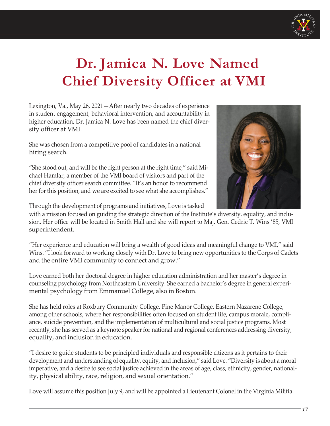

# **Dr. Jamica N. Love Named Chief Diversity Officer at VMI**

Lexington, Va., May 26, 2021—After nearly two decades of experience in student engagement, behavioral intervention, and accountability in higher education, Dr. Jamica N. Love has been named the chief diversity officer at VMI.

She was chosen from a competitive pool of candidates in a national hiring search.

"She stood out, and will be the right person at the right time," said Michael Hamlar, a member of the VMI board of visitors and part of the chief diversity officer search committee. "It's an honor to recommend her for this position, and we are excited to see what she accomplishes."



Through the development of programs and initiatives, Love is tasked

with a mission focused on guiding the strategic direction of the Institute's diversity, equality, and inclusion. Her office will be located in Smith Hall and she will report to Maj. Gen. Cedric T. Wins '85, VMI superintendent.

"Her experience and education will bring a wealth of good ideas and meaningful change to VMI," said Wins. "I look forward to working closely with Dr. Love to bring new opportunities to the Corps of Cadets and the entire VMI community to connect and grow."

Love earned both her doctoral degree in higher education administration and her master's degree in counseling psychology from Northeastern University. She earned a bachelor's degree in general experimental psychology from Emmanuel College, also in Boston.

She has held roles at Roxbury Community College, Pine Manor College, Eastern Nazarene College, among other schools, where her responsibilities often focused on student life, campus morale, compliance, suicide prevention, and the implementation of multicultural and social justice programs. Most recently, she has served as a keynote speaker for national and regional conferences addressing diversity, equality, and inclusion in education.

"I desire to guide students to be principled individuals and responsible citizens as it pertains to their development and understanding of equality, equity, and inclusion," said Love. "Diversity is about a moral imperative, and a desire to see social justice achieved in the areas of age, class, ethnicity, gender, nationality, physical ability, race, religion, and sexual orientation."

Love will assume this position July 9, and will be appointed a Lieutenant Colonel in the Virginia Militia.